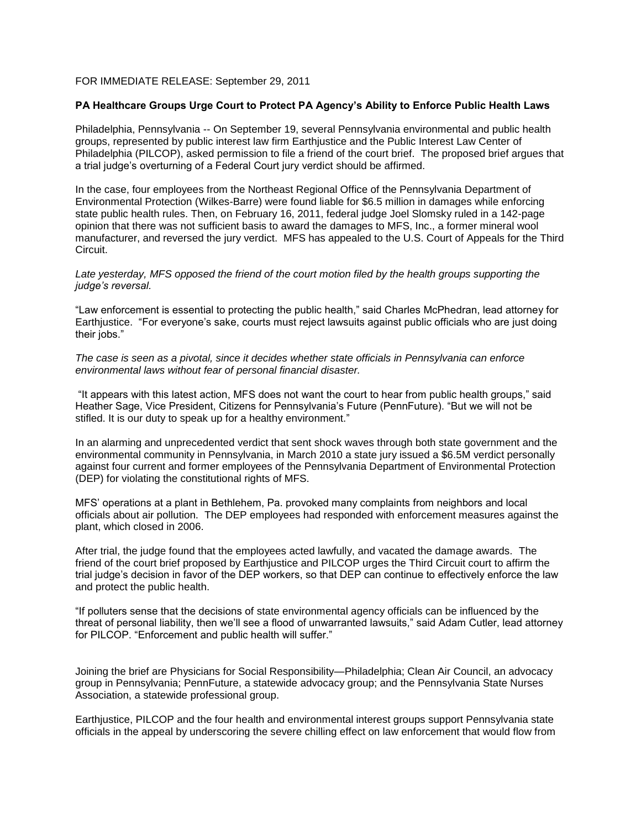## FOR IMMEDIATE RELEASE: September 29, 2011

## **PA Healthcare Groups Urge Court to Protect PA Agency's Ability to Enforce Public Health Laws**

Philadelphia, Pennsylvania -- On September 19, several Pennsylvania environmental and public health groups, represented by public interest law firm Earthjustice and the Public Interest Law Center of Philadelphia (PILCOP), asked permission to file a friend of the court brief. The proposed brief argues that a trial judge's overturning of a Federal Court jury verdict should be affirmed.

In the case, four employees from the Northeast Regional Office of the Pennsylvania Department of Environmental Protection (Wilkes-Barre) were found liable for \$6.5 million in damages while enforcing state public health rules. Then, on February 16, 2011, federal judge Joel Slomsky ruled in a 142-page opinion that there was not sufficient basis to award the damages to MFS, Inc., a former mineral wool manufacturer, and reversed the jury verdict. MFS has appealed to the U.S. Court of Appeals for the Third Circuit.

Late yesterday, MFS opposed the friend of the court motion filed by the health groups supporting the *judge's reversal.*

"Law enforcement is essential to protecting the public health," said Charles McPhedran, lead attorney for Earthjustice. "For everyone's sake, courts must reject lawsuits against public officials who are just doing their jobs."

*The case is seen as a pivotal, since it decides whether state officials in Pennsylvania can enforce environmental laws without fear of personal financial disaster.*

"It appears with this latest action, MFS does not want the court to hear from public health groups," said Heather Sage, Vice President, Citizens for Pennsylvania's Future (PennFuture). "But we will not be stifled. It is our duty to speak up for a healthy environment."

In an alarming and unprecedented verdict that sent shock waves through both state government and the environmental community in Pennsylvania, in March 2010 a state jury issued a \$6.5M verdict personally against four current and former employees of the Pennsylvania Department of Environmental Protection (DEP) for violating the constitutional rights of MFS.

MFS' operations at a plant in Bethlehem, Pa. provoked many complaints from neighbors and local officials about air pollution. The DEP employees had responded with enforcement measures against the plant, which closed in 2006.

After trial, the judge found that the employees acted lawfully, and vacated the damage awards. The friend of the court brief proposed by Earthjustice and PILCOP urges the Third Circuit court to affirm the trial judge's decision in favor of the DEP workers, so that DEP can continue to effectively enforce the law and protect the public health.

"If polluters sense that the decisions of state environmental agency officials can be influenced by the threat of personal liability, then we'll see a flood of unwarranted lawsuits," said Adam Cutler, lead attorney for PILCOP. "Enforcement and public health will suffer."

Joining the brief are Physicians for Social Responsibility—Philadelphia; Clean Air Council, an advocacy group in Pennsylvania; PennFuture, a statewide advocacy group; and the Pennsylvania State Nurses Association, a statewide professional group.

Earthjustice, PILCOP and the four health and environmental interest groups support Pennsylvania state officials in the appeal by underscoring the severe chilling effect on law enforcement that would flow from